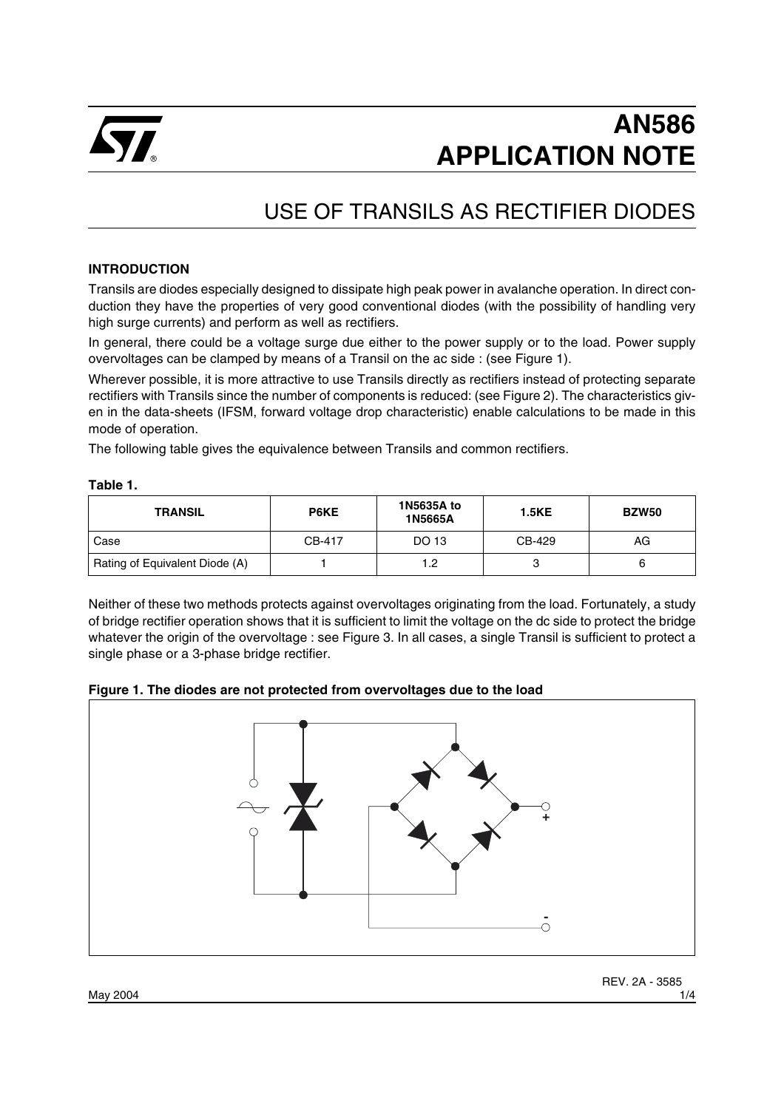

# **AN586 APPLICATION NOTE**

## USE OF TRANSILS AS RECTIFIER DIODES

#### **INTRODUCTION**

Transils are diodes especially designed to dissipate high peak power in avalanche operation. In direct conduction they have the properties of very good conventional diodes (with the possibility of handling very high surge currents) and perform as well as rectifiers.

In general, there could be a voltage surge due either to the power supply or to the load. Power supply overvoltages can be clamped by means of a Transil on the ac side : (see Figure 1).

Wherever possible, it is more attractive to use Transils directly as rectifiers instead of protecting separate rectifiers with Transils since the number of components is reduced: (see Figure 2). The characteristics given in the data-sheets (IFSM, forward voltage drop characteristic) enable calculations to be made in this mode of operation.

The following table gives the equivalence between Transils and common rectifiers.

| u<br>×<br>۰,<br>۰, |  |
|--------------------|--|
|--------------------|--|

| <b>TRANSIL</b>                 | P6KE   | 1N5635A to<br>1N5665A | <b>1.5KE</b> | <b>BZW50</b> |
|--------------------------------|--------|-----------------------|--------------|--------------|
| Case                           | CB-417 | DO 13                 | CB-429       | AG           |
| Rating of Equivalent Diode (A) |        | 1.2                   |              |              |

Neither of these two methods protects against overvoltages originating from the load. Fortunately, a study of bridge rectifier operation shows that it is sufficient to limit the voltage on the dc side to protect the bridge whatever the origin of the overvoltage : see Figure 3. In all cases, a single Transil is sufficient to protect a single phase or a 3-phase bridge rectifier.



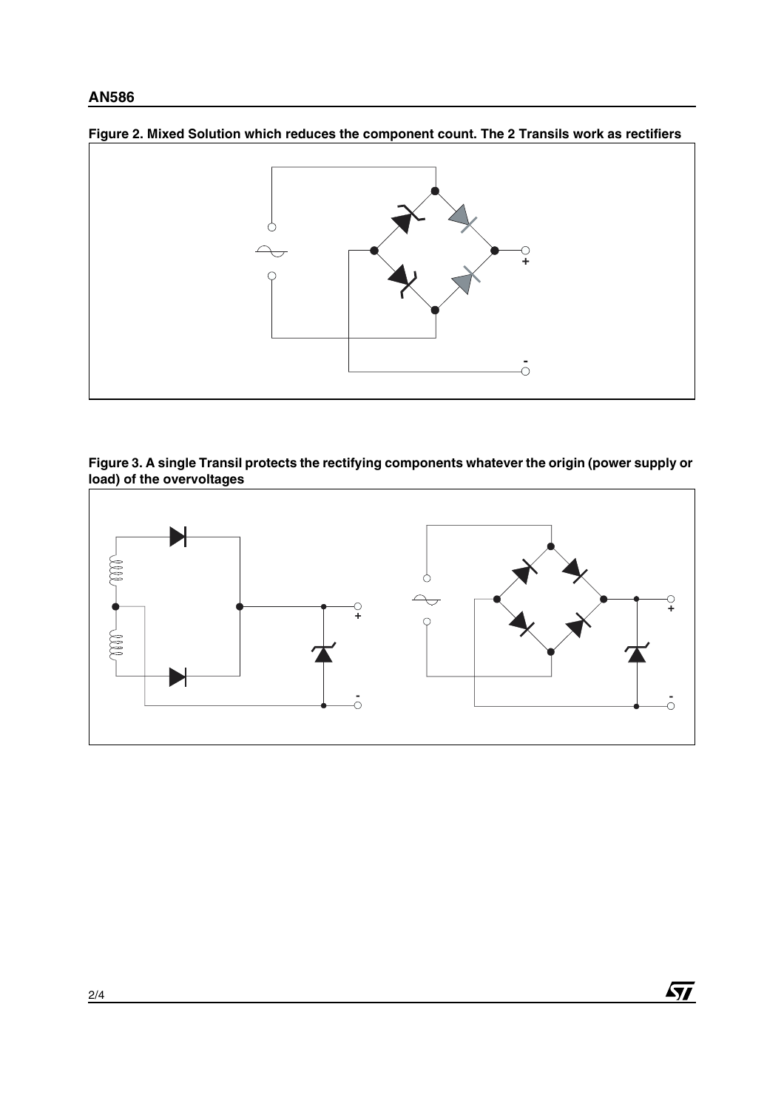#### **AN586**



**Figure 2. Mixed Solution which reduces the component count. The 2 Transils work as rectifiers**





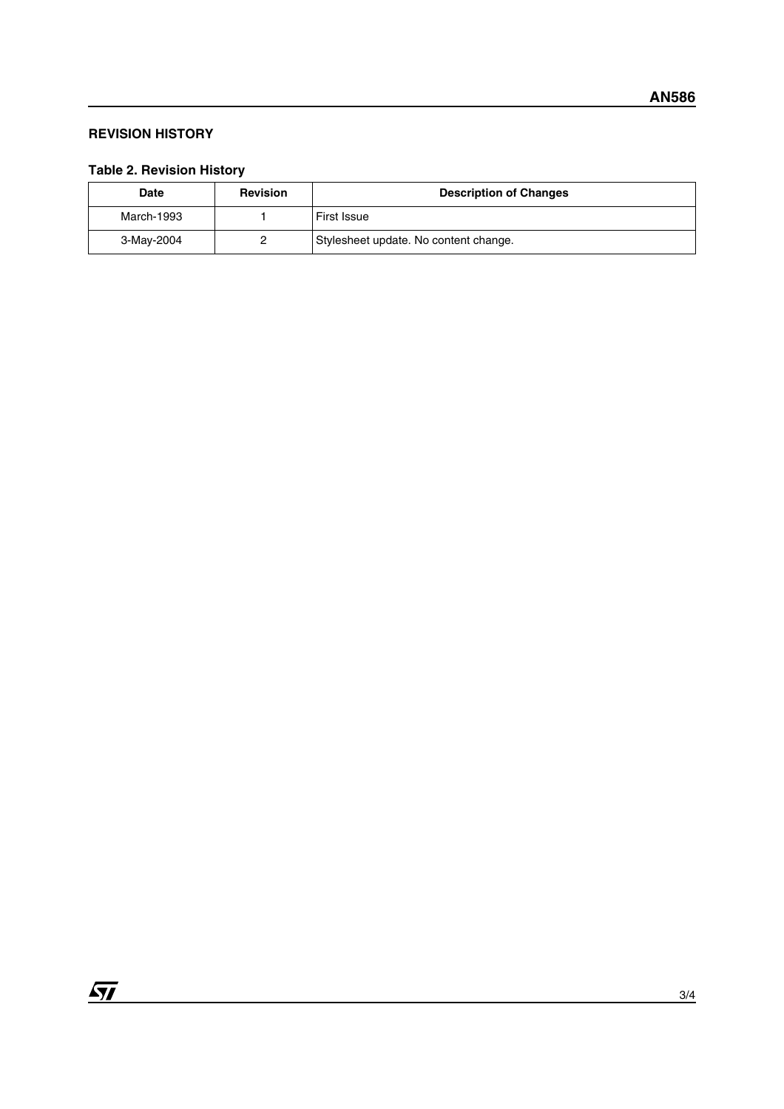#### **REVISION HISTORY**

### **Table 2. Revision History**

| Date       | <b>Revision</b> | <b>Description of Changes</b>         |
|------------|-----------------|---------------------------------------|
| March-1993 |                 | <b>First Issue</b>                    |
| 3-May-2004 |                 | Stylesheet update. No content change. |